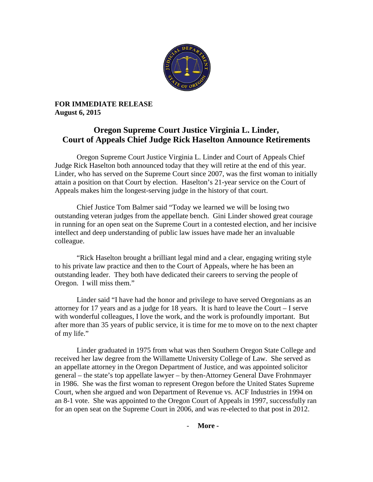

**FOR IMMEDIATE RELEASE August 6, 2015**

## **Oregon Supreme Court Justice Virginia L. Linder, Court of Appeals Chief Judge Rick Haselton Announce Retirements**

Oregon Supreme Court Justice Virginia L. Linder and Court of Appeals Chief Judge Rick Haselton both announced today that they will retire at the end of this year. Linder, who has served on the Supreme Court since 2007, was the first woman to initially attain a position on that Court by election. Haselton's 21-year service on the Court of Appeals makes him the longest-serving judge in the history of that court.

Chief Justice Tom Balmer said "Today we learned we will be losing two outstanding veteran judges from the appellate bench. Gini Linder showed great courage in running for an open seat on the Supreme Court in a contested election, and her incisive intellect and deep understanding of public law issues have made her an invaluable colleague.

"Rick Haselton brought a brilliant legal mind and a clear, engaging writing style to his private law practice and then to the Court of Appeals, where he has been an outstanding leader. They both have dedicated their careers to serving the people of Oregon. I will miss them."

Linder said "I have had the honor and privilege to have served Oregonians as an attorney for 17 years and as a judge for 18 years. It is hard to leave the Court – I serve with wonderful colleagues, I love the work, and the work is profoundly important. But after more than 35 years of public service, it is time for me to move on to the next chapter of my life."

Linder graduated in 1975 from what was then Southern Oregon State College and received her law degree from the Willamette University College of Law. She served as an appellate attorney in the Oregon Department of Justice, and was appointed solicitor general – the state's top appellate lawyer – by then-Attorney General Dave Frohnmayer in 1986. She was the first woman to represent Oregon before the United States Supreme Court, when she argued and won Department of Revenue vs. ACF Industries in 1994 on an 8-1 vote. She was appointed to the Oregon Court of Appeals in 1997, successfully ran for an open seat on the Supreme Court in 2006, and was re-elected to that post in 2012.

- **More -**